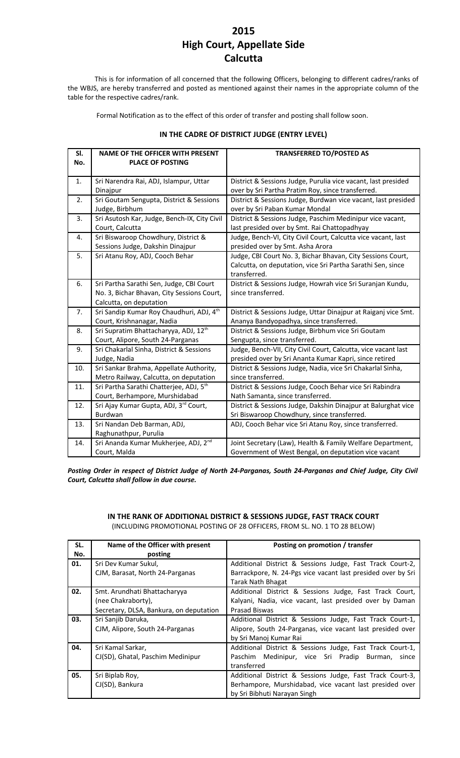## **2015 High Court, Appellate Side Calcutta**

This is for information of all concerned that the following Officers, belonging to different cadres/ranks of the WBJS, are hereby transferred and posted as mentioned against their names in the appropriate column of the table for the respective cadres/rank.

Formal Notification as to the effect of this order of transfer and posting shall follow soon.

| IN THE CADRE OF DISTRICT JUDGE (ENTRY LEVEL) |  |
|----------------------------------------------|--|
|----------------------------------------------|--|

| SI. | <b>NAME OF THE OFFICER WITH PRESENT</b>           | <b>TRANSFERRED TO/POSTED AS</b>                                |
|-----|---------------------------------------------------|----------------------------------------------------------------|
| No. | <b>PLACE OF POSTING</b>                           |                                                                |
|     |                                                   |                                                                |
| 1.  | Sri Narendra Rai, ADJ, Islampur, Uttar            | District & Sessions Judge, Purulia vice vacant, last presided  |
|     | Dinajpur                                          | over by Sri Partha Pratim Roy, since transferred.              |
| 2.  | Sri Goutam Sengupta, District & Sessions          | District & Sessions Judge, Burdwan vice vacant, last presided  |
|     | Judge, Birbhum                                    | over by Sri Paban Kumar Mondal                                 |
| 3.  | Sri Asutosh Kar, Judge, Bench-IX, City Civil      | District & Sessions Judge, Paschim Medinipur vice vacant,      |
|     | Court, Calcutta                                   | last presided over by Smt. Rai Chattopadhyay                   |
| 4.  | Sri Biswaroop Chowdhury, District &               | Judge, Bench-VI, City Civil Court, Calcutta vice vacant, last  |
|     | Sessions Judge, Dakshin Dinajpur                  | presided over by Smt. Asha Arora                               |
| 5.  | Sri Atanu Roy, ADJ, Cooch Behar                   | Judge, CBI Court No. 3, Bichar Bhavan, City Sessions Court,    |
|     |                                                   | Calcutta, on deputation, vice Sri Partha Sarathi Sen, since    |
|     |                                                   | transferred.                                                   |
| 6.  | Sri Partha Sarathi Sen, Judge, CBI Court          | District & Sessions Judge, Howrah vice Sri Suranjan Kundu,     |
|     | No. 3, Bichar Bhavan, City Sessions Court,        | since transferred.                                             |
|     | Calcutta, on deputation                           |                                                                |
| 7.  | Sri Sandip Kumar Roy Chaudhuri, ADJ, 4th          | District & Sessions Judge, Uttar Dinajpur at Raiganj vice Smt. |
|     | Court, Krishnanagar, Nadia                        | Ananya Bandyopadhya, since transferred.                        |
| 8.  | Sri Supratim Bhattacharyya, ADJ, 12 <sup>th</sup> | District & Sessions Judge, Birbhum vice Sri Goutam             |
|     | Court, Alipore, South 24-Parganas                 | Sengupta, since transferred.                                   |
| 9.  | Sri Chakarlal Sinha, District & Sessions          | Judge, Bench-VII, City Civil Court, Calcutta, vice vacant last |
|     | Judge, Nadia                                      | presided over by Sri Ananta Kumar Kapri, since retired         |
| 10. | Sri Sankar Brahma, Appellate Authority,           | District & Sessions Judge, Nadia, vice Sri Chakarlal Sinha,    |
|     | Metro Railway, Calcutta, on deputation            | since transferred.                                             |
| 11. | Sri Partha Sarathi Chatterjee, ADJ, 5th           | District & Sessions Judge, Cooch Behar vice Sri Rabindra       |
|     | Court, Berhampore, Murshidabad                    | Nath Samanta, since transferred.                               |
| 12. | Sri Ajay Kumar Gupta, ADJ, 3rd Court,             | District & Sessions Judge, Dakshin Dinajpur at Balurghat vice  |
|     | Burdwan                                           | Sri Biswaroop Chowdhury, since transferred.                    |
| 13. | Sri Nandan Deb Barman, ADJ,                       | ADJ, Cooch Behar vice Sri Atanu Roy, since transferred.        |
|     | Raghunathpur, Purulia                             |                                                                |
| 14. | Sri Ananda Kumar Mukherjee, ADJ, 2 <sup>nd</sup>  | Joint Secretary (Law), Health & Family Welfare Department,     |
|     | Court, Malda                                      | Government of West Bengal, on deputation vice vacant           |

*Posting Order in respect of District Judge of North 24-Parganas, South 24-Parganas and Chief Judge, City Civil Court, Calcutta shall follow in due course.*

## **IN THE RANK OF ADDITIONAL DISTRICT & SESSIONS JUDGE, FAST TRACK COURT**

(INCLUDING PROMOTIONAL POSTING OF 28 OFFICERS, FROM SL. NO. 1 TO 28 BELOW)

| SL. | Name of the Officer with present        | Posting on promotion / transfer                              |
|-----|-----------------------------------------|--------------------------------------------------------------|
| No. | posting                                 |                                                              |
| 01. | Sri Dev Kumar Sukul,                    | Additional District & Sessions Judge, Fast Track Court-2,    |
|     | CJM, Barasat, North 24-Parganas         | Barrackpore, N. 24-Pgs vice vacant last presided over by Sri |
|     |                                         | Tarak Nath Bhagat                                            |
| 02. | Smt. Arundhati Bhattacharyya            | Additional District & Sessions Judge, Fast Track Court,      |
|     | (nee Chakraborty),                      | Kalyani, Nadia, vice vacant, last presided over by Daman     |
|     | Secretary, DLSA, Bankura, on deputation | Prasad Biswas                                                |
| 03. | Sri Sanjib Daruka,                      | Additional District & Sessions Judge, Fast Track Court-1,    |
|     | CJM, Alipore, South 24-Parganas         | Alipore, South 24-Parganas, vice vacant last presided over   |
|     |                                         | by Sri Manoj Kumar Rai                                       |
| 04. | Sri Kamal Sarkar,                       | Additional District & Sessions Judge, Fast Track Court-1,    |
|     | CJ(SD), Ghatal, Paschim Medinipur       | Paschim Medinipur, vice Sri Pradip Burman, since             |
|     |                                         | transferred                                                  |
| 05. | Sri Biplab Roy,                         | Additional District & Sessions Judge, Fast Track Court-3,    |
|     | CJ(SD), Bankura                         | Berhampore, Murshidabad, vice vacant last presided over      |
|     |                                         | by Sri Bibhuti Narayan Singh                                 |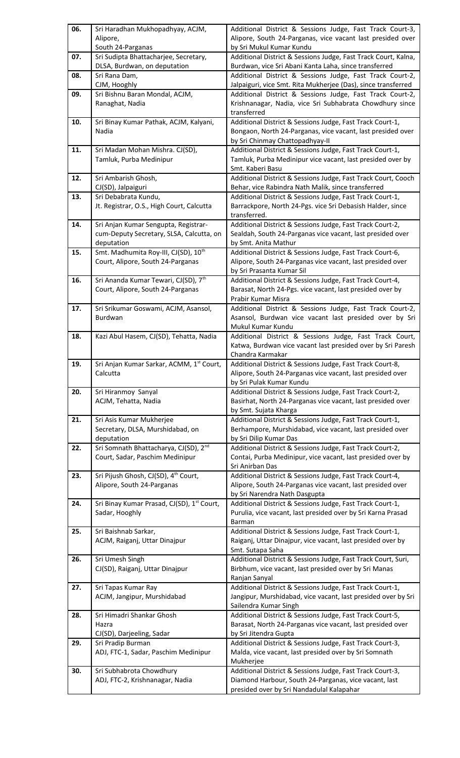| 06. | Sri Haradhan Mukhopadhyay, ACJM,                                                     | Additional District & Sessions Judge, Fast Track Court-3,                                                                |
|-----|--------------------------------------------------------------------------------------|--------------------------------------------------------------------------------------------------------------------------|
|     | Alipore,                                                                             | Alipore, South 24-Parganas, vice vacant last presided over                                                               |
|     | South 24-Parganas                                                                    | by Sri Mukul Kumar Kundu                                                                                                 |
| 07. | Sri Sudipta Bhattacharjee, Secretary,                                                | Additional District & Sessions Judge, Fast Track Court, Kalna,                                                           |
| 08. | DLSA, Burdwan, on deputation<br>Sri Rana Dam,                                        | Burdwan, vice Sri Abani Kanta Laha, since transferred<br>Additional District & Sessions Judge, Fast Track Court-2,       |
|     | CJM, Hooghly                                                                         | Jalpaiguri, vice Smt. Rita Mukherjee (Das), since transferred                                                            |
| 09. | Sri Bishnu Baran Mondal, ACJM,                                                       | Additional District & Sessions Judge, Fast Track Court-2,                                                                |
|     | Ranaghat, Nadia                                                                      | Krishnanagar, Nadia, vice Sri Subhabrata Chowdhury since                                                                 |
|     |                                                                                      | transferred                                                                                                              |
| 10. | Sri Binay Kumar Pathak, ACJM, Kalyani,                                               | Additional District & Sessions Judge, Fast Track Court-1,                                                                |
|     | Nadia                                                                                | Bongaon, North 24-Parganas, vice vacant, last presided over                                                              |
|     |                                                                                      | by Sri Chinmay Chattopadhyay-II                                                                                          |
| 11. | Sri Madan Mohan Mishra. CJ(SD),                                                      | Additional District & Sessions Judge, Fast Track Court-1,                                                                |
|     | Tamluk, Purba Medinipur                                                              | Tamluk, Purba Medinipur vice vacant, last presided over by                                                               |
|     |                                                                                      | Smt. Kaberi Basu                                                                                                         |
| 12. | Sri Ambarish Ghosh,                                                                  | Additional District & Sessions Judge, Fast Track Court, Cooch                                                            |
|     | CJ(SD), Jalpaiguri                                                                   | Behar, vice Rabindra Nath Malik, since transferred                                                                       |
| 13. | Sri Debabrata Kundu,                                                                 | Additional District & Sessions Judge, Fast Track Court-1,                                                                |
|     | Jt. Registrar, O.S., High Court, Calcutta                                            | Barrackpore, North 24-Pgs. vice Sri Debasish Halder, since                                                               |
|     |                                                                                      | transferred.<br>Additional District & Sessions Judge, Fast Track Court-2,                                                |
| 14. | Sri Anjan Kumar Sengupta, Registrar-<br>cum-Deputy Secretary, SLSA, Calcutta, on     | Sealdah, South 24-Parganas vice vacant, last presided over                                                               |
|     | deputation                                                                           | by Smt. Anita Mathur                                                                                                     |
| 15. | Smt. Madhumita Roy-III, CJ(SD), 10 <sup>th</sup>                                     | Additional District & Sessions Judge, Fast Track Court-6,                                                                |
|     | Court, Alipore, South 24-Parganas                                                    | Alipore, South 24-Parganas vice vacant, last presided over                                                               |
|     |                                                                                      | by Sri Prasanta Kumar Sil                                                                                                |
| 16. | Sri Ananda Kumar Tewari, CJ(SD), 7 <sup>th</sup>                                     | Additional District & Sessions Judge, Fast Track Court-4,                                                                |
|     | Court, Alipore, South 24-Parganas                                                    | Barasat, North 24-Pgs. vice vacant, last presided over by                                                                |
|     |                                                                                      | Prabir Kumar Misra                                                                                                       |
| 17. | Sri Srikumar Goswami, ACJM, Asansol,                                                 | Additional District & Sessions Judge, Fast Track Court-2,                                                                |
|     | Burdwan                                                                              | Asansol, Burdwan vice vacant last presided over by Sri                                                                   |
|     |                                                                                      | Mukul Kumar Kundu                                                                                                        |
| 18. | Kazi Abul Hasem, CJ(SD), Tehatta, Nadia                                              | Additional District & Sessions Judge, Fast Track Court,                                                                  |
|     |                                                                                      | Katwa, Burdwan vice vacant last presided over by Sri Paresh<br>Chandra Karmakar                                          |
| 19. | Sri Anjan Kumar Sarkar, ACMM, 1st Court,                                             | Additional District & Sessions Judge, Fast Track Court-8,                                                                |
|     | Calcutta                                                                             | Alipore, South 24-Parganas vice vacant, last presided over                                                               |
|     |                                                                                      | by Sri Pulak Kumar Kundu                                                                                                 |
| 20. | Sri Hiranmoy Sanyal                                                                  | Additional District & Sessions Judge, Fast Track Court-2,                                                                |
|     | ACJM, Tehatta, Nadia                                                                 | Basirhat, North 24-Parganas vice vacant, last presided over                                                              |
|     |                                                                                      | by Smt. Sujata Kharga                                                                                                    |
| 21. | Sri Asis Kumar Mukherjee                                                             | Additional District & Sessions Judge, Fast Track Court-1,                                                                |
|     | Secretary, DLSA, Murshidabad, on                                                     | Berhampore, Murshidabad, vice vacant, last presided over                                                                 |
|     | deputation                                                                           | by Sri Dilip Kumar Das                                                                                                   |
| 22. | Sri Somnath Bhattacharya, CJ(SD), 2 <sup>nd</sup><br>Court, Sadar, Paschim Medinipur | Additional District & Sessions Judge, Fast Track Court-2,<br>Contai, Purba Medinipur, vice vacant, last presided over by |
|     |                                                                                      | Sri Anirban Das                                                                                                          |
| 23. | Sri Pijush Ghosh, CJ(SD), 4 <sup>th</sup> Court,                                     | Additional District & Sessions Judge, Fast Track Court-4,                                                                |
|     | Alipore, South 24-Parganas                                                           | Alipore, South 24-Parganas vice vacant, last presided over                                                               |
|     |                                                                                      | by Sri Narendra Nath Dasgupta                                                                                            |
| 24. | Sri Binay Kumar Prasad, CJ(SD), 1 <sup>st</sup> Court,                               | Additional District & Sessions Judge, Fast Track Court-1,                                                                |
|     | Sadar, Hooghly                                                                       | Purulia, vice vacant, last presided over by Sri Karna Prasad                                                             |
|     |                                                                                      | Barman                                                                                                                   |
| 25. | Sri Baishnab Sarkar,                                                                 | Additional District & Sessions Judge, Fast Track Court-1,                                                                |
|     | ACJM, Raiganj, Uttar Dinajpur                                                        | Raiganj, Uttar Dinajpur, vice vacant, last presided over by                                                              |
|     |                                                                                      | Smt. Sutapa Saha                                                                                                         |
| 26. | Sri Umesh Singh<br>CJ(SD), Raiganj, Uttar Dinajpur                                   | Additional District & Sessions Judge, Fast Track Court, Suri,<br>Birbhum, vice vacant, last presided over by Sri Manas   |
|     |                                                                                      | Ranjan Sanyal                                                                                                            |
| 27. | Sri Tapas Kumar Ray                                                                  | Additional District & Sessions Judge, Fast Track Court-1,                                                                |
|     | ACJM, Jangipur, Murshidabad                                                          | Jangipur, Murshidabad, vice vacant, last presided over by Sri                                                            |
|     |                                                                                      | Sailendra Kumar Singh                                                                                                    |
| 28. | Sri Himadri Shankar Ghosh                                                            | Additional District & Sessions Judge, Fast Track Court-5,                                                                |
|     | Hazra                                                                                | Barasat, North 24-Parganas vice vacant, last presided over                                                               |
|     | CJ(SD), Darjeeling, Sadar                                                            | by Sri Jitendra Gupta                                                                                                    |
| 29. | Sri Pradip Burman                                                                    | Additional District & Sessions Judge, Fast Track Court-3,                                                                |
|     | ADJ, FTC-1, Sadar, Paschim Medinipur                                                 | Malda, vice vacant, last presided over by Sri Somnath                                                                    |
| 30. |                                                                                      | Mukherjee<br>Additional District & Sessions Judge, Fast Track Court-3,                                                   |
|     |                                                                                      |                                                                                                                          |
|     | Sri Subhabrota Chowdhury                                                             |                                                                                                                          |
|     | ADJ, FTC-2, Krishnanagar, Nadia                                                      | Diamond Harbour, South 24-Parganas, vice vacant, last<br>presided over by Sri Nandadulal Kalapahar                       |